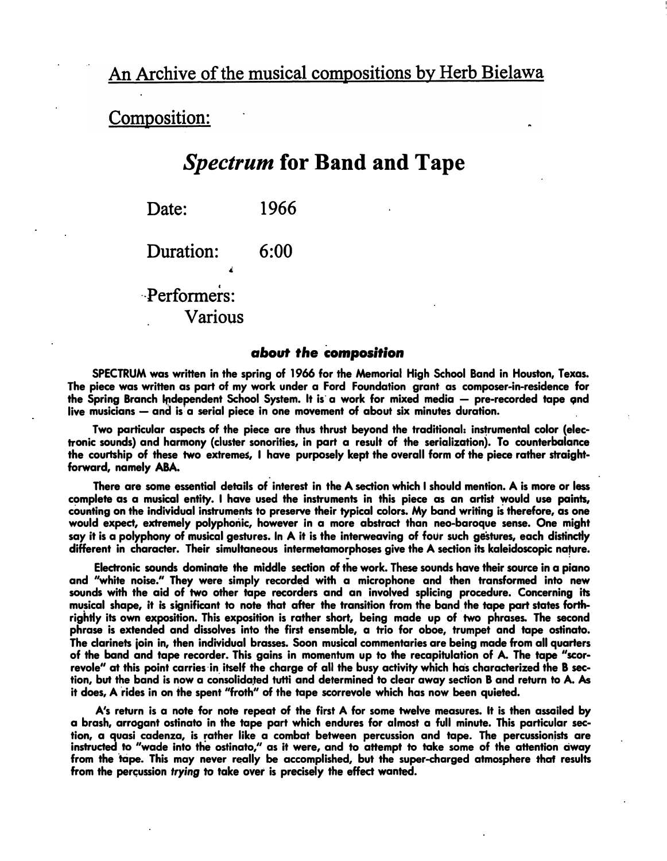Composition:

## Spectrum for Band and Tape

Date: 1966

Duration: 6:00

Performers: Various

## about the composition

SPECTRUM was written in the spring of 1966 for the Memorial High School Band in Houston, Texas. The piece was written as part of my work under a Ford Foundation grant as composer-in-residence for the Spring Branch Independent School System. It is a work for mixed media  $-$  pre-recorded tape and live musicians — and is a serial piece in one movement of about six minutes duration.

Two particular aspects of the piece are thus thrust beyond the traditional: instrumental color (electronic sounds) and harmony (cluster sonorities, in part a result of the serialization). To counterbalance the courtship of these two extremes, I have purposely kept the overall form of the piece rather straightforward, namely ABA.

There are some essential details of interest in the A section which I should mention. A is more or less complete as a musical entity. I have used the instruments in this piece as an artist �ould use paints, counting on the individual instruments to preserve their typical colors. My band writing is therefore, as one would expect, extremely polyphonic, however in a more abstract than neo-baroque sense. One might say it is a polyphony of musical gestures. In A it is the interweaving of four such gestures, each distinctly different in character. Their simultaneous intermetamorphoses give the A section its kaleidoscopic nature.

Electronic sounds dominate the middle section of the work. These sounds have their source in a piano and "white noise." They were simply recorded with a microphone and then transformed into new sounds with the aid of two other tape recorders and an involved splicing procedure. Concerning its mu�ical shape, it is significant to note that after the transition from the band. the tape part states forthrightly its own exposition. This exposition is rather short, being made up of two phrases. The second phrase is extended and dissolves into the first ensemble, a trio for oboe, trumpet and tape ostinato. The clarinets join in, then individual brasses. Soon musical commentaries are being made from all quarters of the band and tape recorder. This gains in momentum up to the recapitulation of A. The tape "scorrevole" at this point carries· in itself the charge of all the busy activity which has characterized the 8 section, but the band is now a consolidated tutti and determined to clear away section 8 and return to A. As it does, A rides in on the spent "froth" of the tape scorrevole which has now been quieted.

A's return is a note for note repeat of the first A for some twelve measures. It is then assailed by a brash, arrogant ostinato in the tape part which endures for almost a full minute. This particular section, a quasi cadenza, is rather like a combat between percussion and tape. The percussionists are instructed to "wade into the ostinato," as it were, and to attempt to take some of the attention away from the tape. This may never really be accomplished, but the super-charged atmosphere that results from the percussion trying to take over is precisely the effect wanted.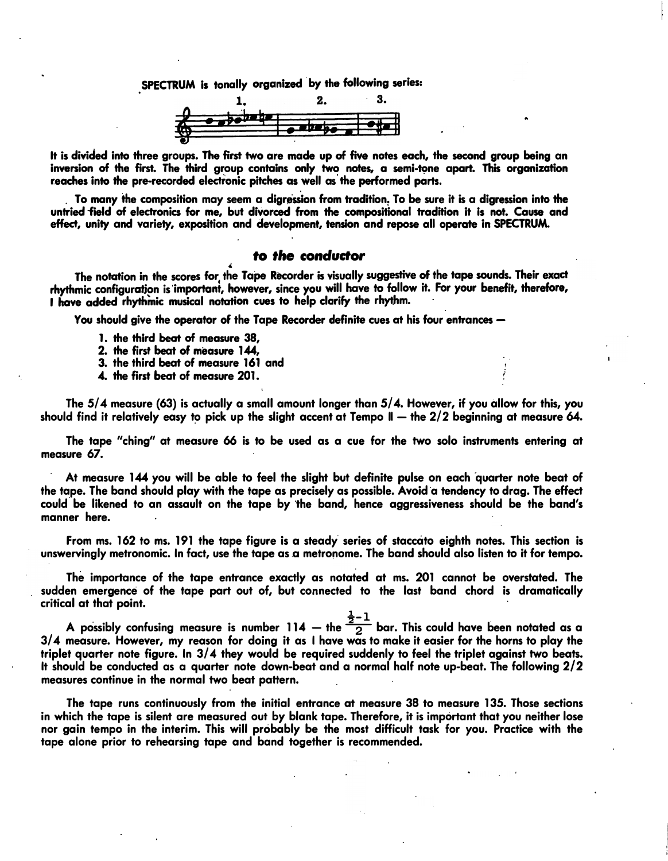SPECTRUM is tonally organized by the following series:



It is divided into three groups. The first two are made up of five notes each, the second group being an inversion of the firs<sup>t</sup>. The third group contains only two notes, a semi-tone apart. This organization reaches into the pre-recorded electronic pitches as well as the performed parts.

To many the composition may seem a digression from tradition. To be sure it is a digression into the untried field of electronics for me, but divorced from the compositional tradition it is not. Cause and eHect, unity and variety, exposition and development, tension and repose all operate in SPECTRUM.

## to the conductor

The notation in the scores for the Tape Recorder is visually suggestive of the tape sounds. Their exact<br>the saction which is important bounces since you will boue to follow it. For your boostit, therefore rhythmic configuration is'important, however, since you will have to follow it. For your benefit, therefore, 1 have added rhythmic musical notation cues to help clarify the rhythm. ·

You should give the operator of the Tape Recorder definite cues at his four entrances —

- 1. the third beat of measure 38,
- 2. the first beat of measure 144,
- 3. the third beat of measure 161 and

4

.4. the first beat of measure 201.

The 5/4 measure (63) is actually a small amount longer than 5/4. However, if you allow for this, you should find it relatively easy to pick up the slight accent at Tempo II — the 2/2 beginning at measure 64.

The tape "ching" at measure 66 is to be used as a cue for the two solo instruments entering at measure 67.

At measure 144 you will be able to feel the slight but definite pulse on each 'quarter note beat of the tape. The band should play with the tape as precisely as possible. Avoid a tendency to drag. The effect could be likened to an assault on the tape by ·the band, hence aggressiveness should be the band's manner here.

From ms. 162 to ms. 191 the tape figure is a steady series of staccato eighth notes. This section is unswervingly metronomic. In fact, use the tape as a metronome. The band should also listen to it for tempo.

The importance of the tape entrance exactly as notated at ms. 201 cannot be overstated. The sudden emergence of the tape part out of, but connected to the last band chord is dramatically critical at that point.

A possibly confusing measure is number 114  $-$  the  $\frac{\frac{1}{2}-1}{2}$  bar. This could have been notated as a 3/4 measure. However, my reason for doing it as I have was to make it easier for the horns to play the triplet quarter note figure. In 3/4 they would be required suddenly to feel the triplet against two beats. It should be conducted as a quarter note down-beat and a normal half note up-beat. The following 2/2 measures continue in the normal two beat pattern.

The tape runs continuously from the initial entrance at measure 38 to measure 135. Those sections in which the tape is silent are measured out by blank tape. Therefore, it is important that you neither lose nor gain tempo in the interim. This will probably be the most difficult task for you. Practice with the tape alone prior to rehearsing tape and band together is recommended.